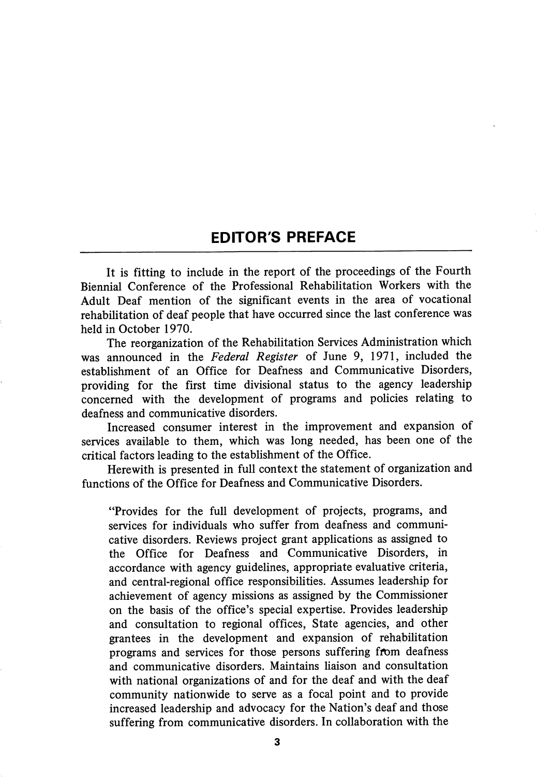## EDITOR'S PREFACE

It is fitting to include in the report of the proceedings of the Fourth Biennial Conference of the Professional Rehabilitation Workers with the Adult Deaf mention of the significant events in the area of vocational rehabilitation of deaf people that have occurred since the last conference was held in October 1970.

The reorganization of the Rehabilitation Services Administration which was announced in the Federal Register of June 9, 1971, included the establishment of an Office for Deafness and Communicative Disorders, providing for the first time divisional status to the agency leadership concerned with the development of programs and policies relating to deafness and communicative disorders.

Increased consumer interest in the improvement and expansion of services available to them, which was long needed, has been one of the critical factors leading to the establishment of the Office.

Herewith is presented in full context the statement of organization and functions of the Office for Deafness and Communicative Disorders.

"Provides for the full development of projects, programs, and services for individuals who suffer from deafness and communi cative disorders. Reviews project grant applications as assigned to the Office for Deafness and Communicative Disorders, in accordance with agency guidelines, appropriate evaluative criteria, and central-regional office responsibilities. Assumes leadership for achievement of agency missions as assigned by the Commissioner on the basis of the office's special expertise. Provides leadership and consultation to regional offices. State agencies, and other grantees in the development and expansion of rehabilitation programs and services for those persons suffering from deafness and communicative disorders. Maintains liaison and consultation with national organizations of and for the deaf and with the deaf community nationwide to serve as a focal point and to provide increased leadership and advocacy for the Nation's deaf and those suffering from communicative disorders. In collaboration with the